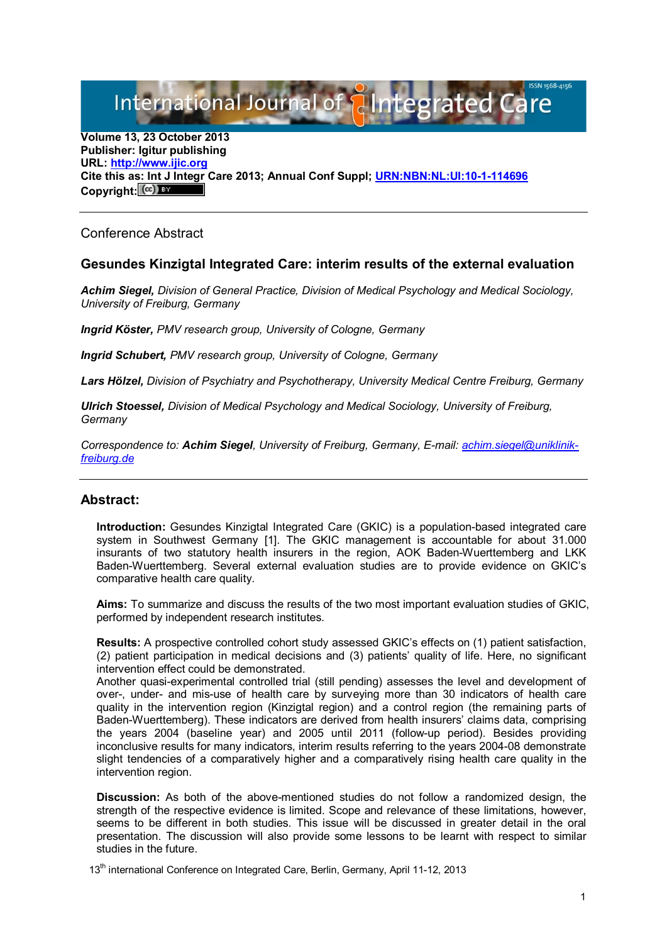International Journal of { aIntegrated C

**Volume 13, 23 October 2013 Publisher: Igitur publishing URL: [http://www.ijic.org](http://www.ijic.org/) Cite this as: Int J Integr Care 2013; Annual Conf Suppl; [URN:NBN:NL:UI:10-1-114696](http://persistent-identifier.nl/?identifier=URN:NBN:NL:UI:10-1-114696)** Copyright:  $(cc)$ 

Conference Abstract

## **Gesundes Kinzigtal Integrated Care: interim results of the external evaluation**

*Achim Siegel, Division of General Practice, Division of Medical Psychology and Medical Sociology, University of Freiburg, Germany*

*Ingrid Köster, PMV research group, University of Cologne, Germany*

*Ingrid Schubert, PMV research group, University of Cologne, Germany*

*Lars Hölzel, Division of Psychiatry and Psychotherapy, University Medical Centre Freiburg, Germany*

*Ulrich Stoessel, Division of Medical Psychology and Medical Sociology, University of Freiburg, Germany*

*Correspondence to: Achim Siegel, University of Freiburg, Germany, E-mail: [achim.siegel@uniklinik](mailto:achim.siegel@uniklinik-freiburg.de)[freiburg.de](mailto:achim.siegel@uniklinik-freiburg.de)*

## **Abstract:**

**Introduction:** Gesundes Kinzigtal Integrated Care (GKIC) is a population-based integrated care system in Southwest Germany [1]. The GKIC management is accountable for about 31.000 insurants of two statutory health insurers in the region, AOK Baden-Wuerttemberg and LKK Baden-Wuerttemberg. Several external evaluation studies are to provide evidence on GKIC's comparative health care quality.

**Aims:** To summarize and discuss the results of the two most important evaluation studies of GKIC, performed by independent research institutes.

**Results:** A prospective controlled cohort study assessed GKIC's effects on (1) patient satisfaction, (2) patient participation in medical decisions and (3) patients' quality of life. Here, no significant intervention effect could be demonstrated.

Another quasi-experimental controlled trial (still pending) assesses the level and development of over-, under- and mis-use of health care by surveying more than 30 indicators of health care quality in the intervention region (Kinzigtal region) and a control region (the remaining parts of Baden-Wuerttemberg). These indicators are derived from health insurers' claims data, comprising the years 2004 (baseline year) and 2005 until 2011 (follow-up period). Besides providing inconclusive results for many indicators, interim results referring to the years 2004-08 demonstrate slight tendencies of a comparatively higher and a comparatively rising health care quality in the intervention region.

**Discussion:** As both of the above-mentioned studies do not follow a randomized design, the strength of the respective evidence is limited. Scope and relevance of these limitations, however, seems to be different in both studies. This issue will be discussed in greater detail in the oral presentation. The discussion will also provide some lessons to be learnt with respect to similar studies in the future.

13<sup>th</sup> international Conference on Integrated Care, Berlin, Germany, April 11-12, 2013